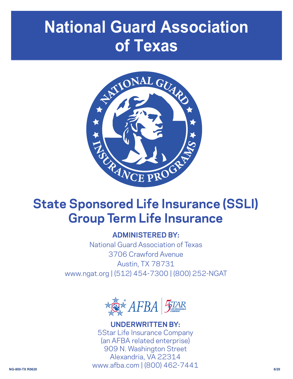# **National Guard Association of Texas**



# **State Sponsored Life Insurance (SSLI) Group Term Life Insurance**

## **ADMINISTERED BY:**

National Guard Association of Texas 3706 Crawford Avenue Austin, TX 78731 www.ngat.org | (512) 454-7300 | (800) 252-NGAT



**NG-800-TX R0620 6/20 UNDERWRITTEN BY:** 5Star Life Insurance Company (an AFBA related enterprise) 909 N. Washington Street Alexandria, VA 22314 www.afba.com | (800) 462-7441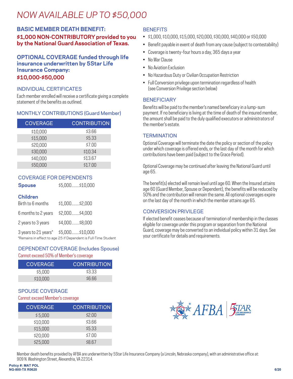## *NOW AVAILABLE UP TO \$50,000*

## **BASIC MEMBER DEATH BENEFIT: \$1,000 NON-CONTRIBUTORY provided to you by the National Guard Association of Texas.**

#### **OPTIONAL COVERAGE funded through life insurance underwritten by 5Star Life Insurance Company: \$10,000-\$50,000**

## INDIVIDUAL CERTIFICATES

Each member enrolled will receive a certificate giving a complete statement of the benefits as outlined.

## MONTHLY CONTRIBUTIONS (Guard Member)

| <b>COVERAGE</b> | <b>CONTRIBUTION</b> |
|-----------------|---------------------|
| \$10,000        | \$3.66              |
| \$15,000        | \$5.33              |
| \$20,000        | \$7.00              |
| \$30,000        | \$10.34             |
| \$40,000        | \$13.67             |
| \$50,000        | \$17.00             |

## COVERAGE FOR DEPENDENTS

## **Children**

| Birth to 6 months    | \$1,000\$2,000   |
|----------------------|------------------|
| 6 months to 2 years  | \$2,000 \$4,000  |
| 2 years to 3 years   | \$4,000\$8,000   |
| 3 years to 21 years* | \$5,000 \$10,000 |

\*Remains in effect to age 25 if Dependent is Full-Time Student

**Spouse** \$5,000.........\$10,000

## DEPENDENT COVERAGE (Includes Spouse)

Cannot exceed 50% of Member's coverage

| <b>COVERAGE</b> | <b>CONTRIBUTION</b> |
|-----------------|---------------------|
| \$5.000         | \$3.33              |
| \$10,000        | \$666               |

## SPOUSE COVERAGE

#### Cannot exceed Member's coverage

| <b>COVERAGE</b> | <b>CONTRIBUTION</b> |
|-----------------|---------------------|
| \$5,000         | \$2.00              |
| \$10,000        | \$3.66              |
| \$15,000        | \$5.33              |
| \$20,000        | \$7.00              |
| \$25,000        | \$8.67              |

## **BENEFITS**

- \$1,000, \$10,000, \$15,000, \$20,000, \$30,000, \$40,000 or \$50,000
- Benefit payable in event of death from any cause (subject to contestability)
- Coverage is twenty-four hours a day, 365 days a year
- No War Clause
- No Aviation Exclusion
- No Hazardous Duty or Civilian Occupation Restriction
- Full Conversion privilege upon termination regardless of health (see Conversion Privilege section below)

#### **BENEFICIARY**

Benefits will be paid to the member's named beneficiary in a lump-sum payment. If no beneficiary is living at the time of death of the insured member, the amount shall be paid to the duly qualified executors or administrators of the member's estate.

#### **TERMINATION**

Optional Coverage will terminate the date the policy or section of the policy under which coverage is offered ends, or the last day of the month for which contributions have been paid (subject to the Grace Period).

Optional Coverage may be continued after leaving the National Guard until age 65.

The benefit(s) elected will remain level until age 60. When the Insured attains age 60 (Guard Member, Spouse or Dependent), the benefits will be reduced by 50% and the contribution will remain the same. All optional coverages expire on the last day of the month in which the member attains age 65.

#### CONVERSION PRIVILEGE

If elected benefit ceases because of termination of membership in the classes eligible for coverage under this program or separation from the National Guard, coverage may be converted to an individual policy within 31 days. See your certificate for details and requirements.



Member death benefits provided by AFBA are underwritten by 5Star Life Insurance Company (a Lincoln, Nebraska company), with an administrative office at: 909 N. Washington Street, Alexandria, VA 22314.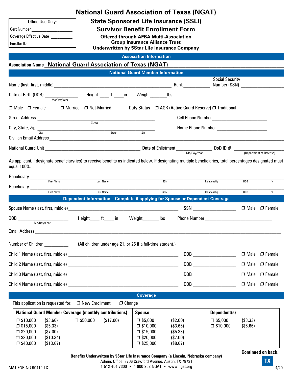| Office Use Only:               |  |  |
|--------------------------------|--|--|
| <b>Cert Number</b>             |  |  |
| <b>Coverage Effective Date</b> |  |  |
| Enroller ID                    |  |  |

**National Guard Association of Texas (NGAT)**

**State Sponsored Life Insurance (SSLI)**

**Survivor Benefit Enrollment Form**

**Offered through AFBA Multi-Association Group Insurance Alliance Trust Underwritten by 5Star Life Insurance Company**

#### **Association Information**

#### **Association Name** \_\_\_\_\_\_\_\_\_\_\_\_\_\_\_\_\_\_\_\_\_\_\_\_\_\_\_\_\_\_\_\_\_\_\_\_\_\_\_\_\_\_\_\_\_\_\_\_\_\_\_\_\_\_\_\_\_\_\_\_\_\_\_\_\_\_\_\_\_\_\_\_\_\_\_\_\_\_\_\_\_\_\_\_\_\_\_\_\_\_\_\_\_\_\_\_\_\_\_\_ **National Guard Association of Texas (NGAT)**

|                                                                                                                                                                                                                                                                                                                                                                                                                                                                                                                                  | <b>National Guard Member Information</b>                                                                              |                                                                                                                                                                                                                                                                                                                                                                              |                              |
|----------------------------------------------------------------------------------------------------------------------------------------------------------------------------------------------------------------------------------------------------------------------------------------------------------------------------------------------------------------------------------------------------------------------------------------------------------------------------------------------------------------------------------|-----------------------------------------------------------------------------------------------------------------------|------------------------------------------------------------------------------------------------------------------------------------------------------------------------------------------------------------------------------------------------------------------------------------------------------------------------------------------------------------------------------|------------------------------|
|                                                                                                                                                                                                                                                                                                                                                                                                                                                                                                                                  |                                                                                                                       | <b>Social Security</b>                                                                                                                                                                                                                                                                                                                                                       | Number (SSN)                 |
| Date of Birth (DOB) _________________<br>Height ____ft ____in<br>Mo/Day/Year                                                                                                                                                                                                                                                                                                                                                                                                                                                     | Weight<br>lbs                                                                                                         |                                                                                                                                                                                                                                                                                                                                                                              |                              |
| □ Male □ Female<br>□ Married □ Not-Married                                                                                                                                                                                                                                                                                                                                                                                                                                                                                       |                                                                                                                       | Duty Status □ AGR (Active Guard Reserve) □ Traditional                                                                                                                                                                                                                                                                                                                       |                              |
|                                                                                                                                                                                                                                                                                                                                                                                                                                                                                                                                  |                                                                                                                       |                                                                                                                                                                                                                                                                                                                                                                              |                              |
| City, State, Zip $\frac{1}{\sqrt{1+\frac{1}{n}}$                                                                                                                                                                                                                                                                                                                                                                                                                                                                                 |                                                                                                                       |                                                                                                                                                                                                                                                                                                                                                                              |                              |
|                                                                                                                                                                                                                                                                                                                                                                                                                                                                                                                                  | Zip                                                                                                                   |                                                                                                                                                                                                                                                                                                                                                                              |                              |
|                                                                                                                                                                                                                                                                                                                                                                                                                                                                                                                                  |                                                                                                                       |                                                                                                                                                                                                                                                                                                                                                                              |                              |
| As applicant, I designate beneficiary(ies) to receive benefits as indicated below. If designating multiple beneficiaries, total percentages designated must<br>equal 100%.                                                                                                                                                                                                                                                                                                                                                       |                                                                                                                       |                                                                                                                                                                                                                                                                                                                                                                              |                              |
| Beneficiary<br>First Name<br>First Name<br>First Name<br>Last Name<br>Last Name                                                                                                                                                                                                                                                                                                                                                                                                                                                  | SSN                                                                                                                   | Relationship                                                                                                                                                                                                                                                                                                                                                                 | %<br><b>DOB</b>              |
| <b>Last Name</b>                                                                                                                                                                                                                                                                                                                                                                                                                                                                                                                 | SSN                                                                                                                   | Relationship                                                                                                                                                                                                                                                                                                                                                                 | $\%$<br><b>DOB</b>           |
| Dependent Information - Complete if applying for Spouse or Dependent Coverage                                                                                                                                                                                                                                                                                                                                                                                                                                                    |                                                                                                                       |                                                                                                                                                                                                                                                                                                                                                                              |                              |
|                                                                                                                                                                                                                                                                                                                                                                                                                                                                                                                                  |                                                                                                                       | $SSN$                                                                                                                                                                                                                                                                                                                                                                        | $\Box$ Male $\Box$ Female    |
| Height______ft_____ in<br>$\text{DOB} \begin{tabular}{c} \multicolumn{2}{c} {\text{1}} \\ \multicolumn{2}{c} {\text{1}} \\ \multicolumn{2}{c} {\text{1}} \\ \multicolumn{2}{c} {\text{1}} \\ \multicolumn{2}{c} {\text{1}} \\ \multicolumn{2}{c} {\text{1}} \\ \multicolumn{2}{c} {\text{1}} \\ \multicolumn{2}{c} {\text{1}} \\ \multicolumn{2}{c} {\text{1}} \\ \multicolumn{2}{c} {\text{1}} \\ \multicolumn{2}{c} {\text{1}} \\ \multicolumn{2}{c} {\text{1}} \\ \multicolumn{2}{c} {\text{1}} \\ \multicolumn{2}{c} {\text$ | Weight lbs                                                                                                            |                                                                                                                                                                                                                                                                                                                                                                              |                              |
|                                                                                                                                                                                                                                                                                                                                                                                                                                                                                                                                  |                                                                                                                       |                                                                                                                                                                                                                                                                                                                                                                              |                              |
| Number of Children ________________(All children under age 21, or 25 if a full-time student.)                                                                                                                                                                                                                                                                                                                                                                                                                                    |                                                                                                                       |                                                                                                                                                                                                                                                                                                                                                                              |                              |
|                                                                                                                                                                                                                                                                                                                                                                                                                                                                                                                                  |                                                                                                                       | $\begin{picture}(150,10) \put(0,0){\dashbox{00B}} \put(150,0){\dashbox{00}} \put(150,0){\dashbox{00}} \put(150,0){\dashbox{00}} \put(150,0){\dashbox{00}} \put(150,0){\dashbox{00}} \put(150,0){\dashbox{00}} \put(150,0){\dashbox{00}} \put(150,0){\dashbox{00}} \put(150,0){\dashbox{00}} \put(150,0){\dashbox{00}} \put(150,0){\dashbox{00}} \put(150,0){\dashbox{00}} \$ | $\Box$ Male $\Box$ Female    |
|                                                                                                                                                                                                                                                                                                                                                                                                                                                                                                                                  |                                                                                                                       | DOB <b>DOB</b>                                                                                                                                                                                                                                                                                                                                                               | $\Box$ Male $\Box$ Female    |
|                                                                                                                                                                                                                                                                                                                                                                                                                                                                                                                                  |                                                                                                                       | DOB <b>DOB</b>                                                                                                                                                                                                                                                                                                                                                               | $\Box$ Male $\Box$ Female    |
| Child 4 Name (last, first, middle)                                                                                                                                                                                                                                                                                                                                                                                                                                                                                               |                                                                                                                       | DOB                                                                                                                                                                                                                                                                                                                                                                          | $\Box$ Male<br>$\Box$ Female |
|                                                                                                                                                                                                                                                                                                                                                                                                                                                                                                                                  | <b>Coverage</b>                                                                                                       |                                                                                                                                                                                                                                                                                                                                                                              |                              |
| This application is requested for:<br>□ New Enrollment                                                                                                                                                                                                                                                                                                                                                                                                                                                                           | $\Box$ Change                                                                                                         |                                                                                                                                                                                                                                                                                                                                                                              |                              |
| <b>National Guard Member Coverage (monthly contributions)</b>                                                                                                                                                                                                                                                                                                                                                                                                                                                                    | <b>Spouse</b>                                                                                                         | Dependent(s)                                                                                                                                                                                                                                                                                                                                                                 |                              |
| $\square$ \$50,000<br>(\$17.00)<br>$\square$ \$10,000<br>(\$3.66)<br>$\Box$ \$15,000<br>(\$5.33)<br>$\square$ \$20,000<br>(\$7.00)<br>$\square$ \$30,000<br>(\$10.34)<br>$\square$ \$40,000<br>(\$13.67)                                                                                                                                                                                                                                                                                                                         | $\square$ \$5,000<br>$\square$ \$10,000<br>$\square$ \$15,000<br>$\square$ \$20,000<br>$\square$ \$25,000<br>(\$8.67) | (\$2.00)<br>$\square$ \$5,000<br>(\$3.66)<br>$\square$ \$10,000<br>(\$5.33)<br>(\$7.00)                                                                                                                                                                                                                                                                                      | (\$3.33)<br>(\$6.66)         |

**Continued on back.**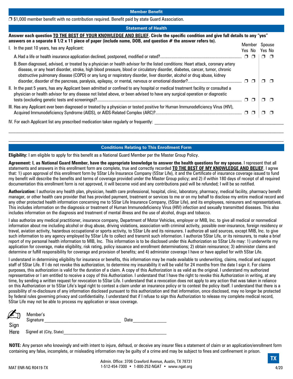$\Box$  \$1,000 member benefit with no contribution required. Benefit paid by state Guard Association.

#### **Statement of Health**

| Answer each question TO THE BEST OF YOUR KNOWLEDGE AND BELIEF. Circle the specific condition and give full details to any "yes"<br>answers on a separate $8\frac{1}{2} \times 11$ piece of paper (include name, DOB, and question # the answer refers to).                                                                                                                                  |        |              |  |
|---------------------------------------------------------------------------------------------------------------------------------------------------------------------------------------------------------------------------------------------------------------------------------------------------------------------------------------------------------------------------------------------|--------|--------------|--|
| I. In the past 10 years, has any Applicant:                                                                                                                                                                                                                                                                                                                                                 | Member | Spouse       |  |
|                                                                                                                                                                                                                                                                                                                                                                                             | Yes No | Yes No       |  |
|                                                                                                                                                                                                                                                                                                                                                                                             |        | $\Box$<br>□□ |  |
| B. Been diagnosed, advised, or treated by a physician or health advisor for the listed conditions: Heart attack, coronary artery<br>disease, or any heart disorder, stroke, high blood pressure, blood or circulatory disorder, diabetes, cancer, tumor, chronic<br>obstructive pulmonary disease (COPD) or any lung or respiratory disorder, liver disorder, alcohol or drug abuse, kidney |        | П            |  |
| II. In the past 5 years, has any Applicant been admitted or confined to any hospital or medical treatment facility or consulted a<br>physician or health advisor for any disease not listed above, or been advised to have any surgical operation or diagnostic                                                                                                                             |        |              |  |
| III. Has any Applicant ever been diagnosed or treated by a physician or tested positive for Human Immunodeficiency Virus (HIV),                                                                                                                                                                                                                                                             |        |              |  |
| IV. For each Applicant list any prescribed medication taken regularly or frequently:                                                                                                                                                                                                                                                                                                        |        |              |  |

#### **Conditions Relating to This Enrollment Form**

**Eligibility:** I am eligible to apply for this benefit as a National Guard Member per the Master Group Policy.

**Agreement: I, as National Guard Member, have the appropriate knowledge to answer the health questions for my spouse.** I represent that all statements and answers in this enrollment form are complete, true and correctly recorded **TO THE BEST OF MY KNOWLEDGE AND BELIEF**. I agree that: 1) upon approval of this enrollment form by 5Star Life Insurance Company (5Star Life), it and the Certificate of insurance coverage issued to fund my benefit will describe the benefits and terms of coverage provided under the Master Group policy; and 2) if within 180 days of receipt of all required documentation this enrollment form is not approved, it will become void and any contributions paid will be refunded; I will be so notified.

**Authorization:** I authorize any health plan, physician, health care professional, hospital, clinic, laboratory, pharmacy, medical facility, pharmacy benefit manager, or other health care provider that has provided payment, treatment or services to me or on my behalf to disclose my entire medical record and any other protected health information concerning me to 5Star Life Insurance Company, (5Star Life), and its employees, reinsurers and representatives. This includes information on the diagnosis or treatment of Human Immunodeficiency Virus (HIV) infection and sexually transmitted diseases. This also includes information on the diagnosis and treatment of mental illness and the use of alcohol, drugs and tobacco.

I also authorize any medical practitioner, insurance company, Department of Motor Vehicles, employer or MIB, Inc. to give all medical or nonmedical information about me including alcohol or drug abuse, driving violations, association with criminal activity, possible over-insurance, foreign residency or travel, aviation activity, hazardous occupational or sports activity, to 5Star Life and its reinsurers. I authorize all said sources, except MIB, Inc. to give such information to any agency employed by 5Star Life to collect and transmit such information. I authorize 5Star Life, or its reinsurers, to make a brief report of my personal health information to MIB, Inc. This information is to be disclosed under this Authorization so 5Star Life may: 1) underwrite my application for coverage, make eligibility, risk rating, policy issuance and enrollment determinations; 2) obtain reinsurance; 3) administer claims and determine or fulfill responsibility for coverage and provision of benefits; and 4) administer coverage I have or have applied for with 5Star Life.

I understand in determining eligibility for insurance or benefits, this information may be made available to underwriting, claims, medical and support staff of 5Star Life. If I do not revoke this authorization, to determine my insurability it will be valid for 24 months from the date I sign it. For claims purposes, this authorization is valid for the duration of a claim. A copy of this Authorization is as valid as the original. I understand my authorized representative or I am entitled to receive a copy of this Authorization. I understand that I have the right to revoke this Authorization in writing, at any time, by sending a written request for revocation to 5Star Life. I understand that a revocation does not apply to any action that was taken in reliance on this Authorization or to 5Star Life's legal right to contest a claim under an insurance policy or to contest the policy itself. I understand that there is a possibility of re-disclosure of any information disclosed pursuant to this authorization and that information, once disclosed, may no longer be protected by federal rules governing privacy and confidentiality. I understand that if I refuse to sign this Authorization to release my complete medical record, 5Star Life may not be able to process my application or issue coverage.

| $\mathbb{Z}$ | Member's<br>Signature   | Date |
|--------------|-------------------------|------|
| Sign<br>Here | Signed at (City, State) |      |

**NOTE:** Any person who knowingly and with intent to injure, defraud, or deceive any insurer files a statement of claim or an application/enrollment form containing any false, incomplete, or misleading information may be guilty of a crime and may be subject to fines and confinement in prison.

**TX**